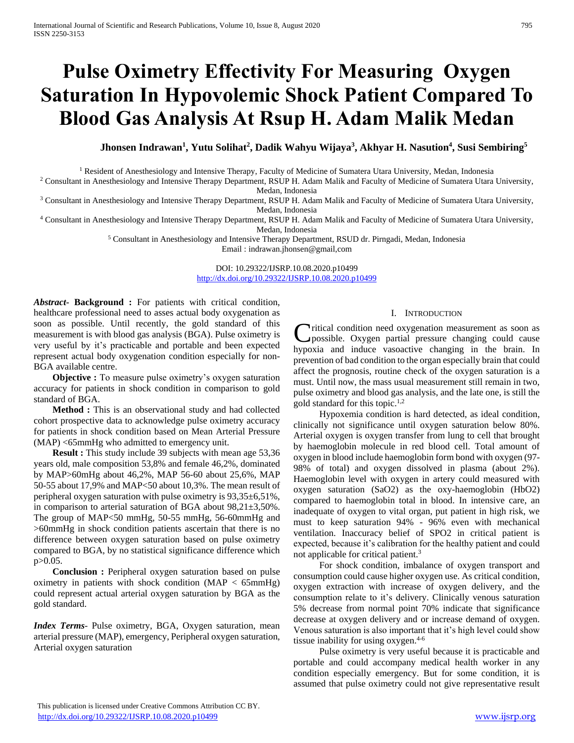# **Pulse Oximetry Effectivity For Measuring Oxygen Saturation In Hypovolemic Shock Patient Compared To Blood Gas Analysis At Rsup H. Adam Malik Medan**

**Jhonsen Indrawan<sup>1</sup> , Yutu Solihat<sup>2</sup> , Dadik Wahyu Wijaya<sup>3</sup> , Akhyar H. Nasution<sup>4</sup> , Susi Sembiring<sup>5</sup>**

<sup>1</sup> Resident of Anesthesiology and Intensive Therapy, Faculty of Medicine of Sumatera Utara University, Medan, Indonesia

<sup>2</sup> Consultant in Anesthesiology and Intensive Therapy Department, RSUP H. Adam Malik and Faculty of Medicine of Sumatera Utara University, Medan, Indonesia

<sup>3</sup> Consultant in Anesthesiology and Intensive Therapy Department, RSUP H. Adam Malik and Faculty of Medicine of Sumatera Utara University, Medan, Indonesia

<sup>4</sup> Consultant in Anesthesiology and Intensive Therapy Department, RSUP H. Adam Malik and Faculty of Medicine of Sumatera Utara University, Medan, Indonesia

> <sup>5</sup> Consultant in Anesthesiology and Intensive Therapy Department, RSUD dr. Pirngadi, Medan, Indonesia Email : indrawan.jhonsen@gmail,com

> > DOI: 10.29322/IJSRP.10.08.2020.p10499 <http://dx.doi.org/10.29322/IJSRP.10.08.2020.p10499>

*Abstract***- Background :** For patients with critical condition, healthcare professional need to asses actual body oxygenation as soon as possible. Until recently, the gold standard of this measurement is with blood gas analysis (BGA). Pulse oximetry is very useful by it's practicable and portable and been expected represent actual body oxygenation condition especially for non-BGA available centre.

**Objective :** To measure pulse oximetry's oxygen saturation accuracy for patients in shock condition in comparison to gold standard of BGA.

**Method :** This is an observational study and had collected cohort prospective data to acknowledge pulse oximetry accuracy for patients in shock condition based on Mean Arterial Pressure (MAP) <65mmHg who admitted to emergency unit.

**Result :** This study include 39 subjects with mean age 53,36 years old, male composition 53,8% and female 46,2%, dominated by MAP>60mHg about 46,2%, MAP 56-60 about 25,6%, MAP 50-55 about 17,9% and MAP<50 about 10,3%. The mean result of peripheral oxygen saturation with pulse oximetry is 93,35±6,51%, in comparison to arterial saturation of BGA about 98,21±3,50%. The group of MAP<50 mmHg, 50-55 mmHg, 56-60mmHg and >60mmHg in shock condition patients ascertain that there is no difference between oxygen saturation based on pulse oximetry compared to BGA, by no statistical significance difference which p>0.05.

 **Conclusion :** Peripheral oxygen saturation based on pulse oximetry in patients with shock condition (MAP < 65mmHg) could represent actual arterial oxygen saturation by BGA as the gold standard.

*Index Terms*- Pulse oximetry, BGA, Oxygen saturation, mean arterial pressure (MAP), emergency, Peripheral oxygen saturation, Arterial oxygen saturation

# I. INTRODUCTION

**Tritical condition need oxygenation measurement as soon as** Critical condition need oxygenation measurement as soon as<br>possible. Oxygen partial pressure changing could cause hypoxia and induce vasoactive changing in the brain. In prevention of bad condition to the organ especially brain that could affect the prognosis, routine check of the oxygen saturation is a must. Until now, the mass usual measurement still remain in two, pulse oximetry and blood gas analysis, and the late one, is still the gold standard for this topic.1,2

 Hypoxemia condition is hard detected, as ideal condition, clinically not significance until oxygen saturation below 80%. Arterial oxygen is oxygen transfer from lung to cell that brought by haemoglobin molecule in red blood cell. Total amount of oxygen in blood include haemoglobin form bond with oxygen (97- 98% of total) and oxygen dissolved in plasma (about 2%). Haemoglobin level with oxygen in artery could measured with oxygen saturation (SaO2) as the oxy-haemoglobin (HbO2) compared to haemoglobin total in blood. In intensive care, an inadequate of oxygen to vital organ, put patient in high risk, we must to keep saturation 94% - 96% even with mechanical ventilation. Inaccuracy belief of SPO2 in critical patient is expected, because it's calibration for the healthy patient and could not applicable for critical patient.<sup>3</sup>

 For shock condition, imbalance of oxygen transport and consumption could cause higher oxygen use. As critical condition, oxygen extraction with increase of oxygen delivery, and the consumption relate to it's delivery. Clinically venous saturation 5% decrease from normal point 70% indicate that significance decrease at oxygen delivery and or increase demand of oxygen. Venous saturation is also important that it's high level could show tissue inability for using oxygen.<sup>4-6</sup>

 Pulse oximetry is very useful because it is practicable and portable and could accompany medical health worker in any condition especially emergency. But for some condition, it is assumed that pulse oximetry could not give representative result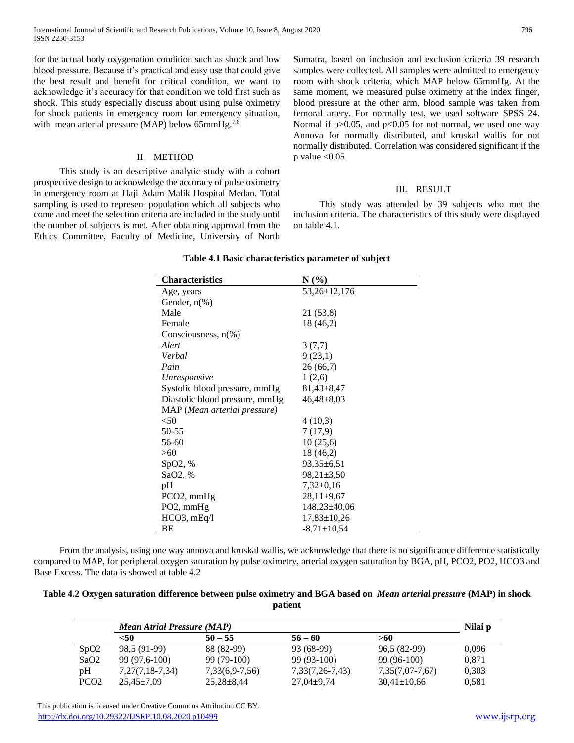for the actual body oxygenation condition such as shock and low blood pressure. Because it's practical and easy use that could give the best result and benefit for critical condition, we want to acknowledge it's accuracy for that condition we told first such as shock. This study especially discuss about using pulse oximetry for shock patients in emergency room for emergency situation, with mean arterial pressure (MAP) below 65mmHg.<sup>7,8</sup>

#### II. METHOD

 This study is an descriptive analytic study with a cohort prospective design to acknowledge the accuracy of pulse oximetry in emergency room at Haji Adam Malik Hospital Medan. Total sampling is used to represent population which all subjects who come and meet the selection criteria are included in the study until the number of subjects is met. After obtaining approval from the Ethics Committee, Faculty of Medicine, University of North Sumatra, based on inclusion and exclusion criteria 39 research samples were collected. All samples were admitted to emergency room with shock criteria, which MAP below 65mmHg. At the same moment, we measured pulse oximetry at the index finger, blood pressure at the other arm, blood sample was taken from femoral artery. For normally test, we used software SPSS 24. Normal if  $p > 0.05$ , and  $p < 0.05$  for not normal, we used one way Annova for normally distributed, and kruskal wallis for not normally distributed. Correlation was considered significant if the  $p$  value  $< 0.05$ .

#### III. RESULT

 This study was attended by 39 subjects who met the inclusion criteria. The characteristics of this study were displayed on table 4.1.

| <b>Characteristics</b>         | $N(\%)$           |
|--------------------------------|-------------------|
| Age, years                     | 53,26±12,176      |
| Gender, $n\%$ )                |                   |
| Male                           | 21 (53,8)         |
| Female                         | 18 (46,2)         |
| Consciousness, $n(\%)$         |                   |
| Alert                          | 3(7,7)            |
| Verbal                         | 9(23,1)           |
| Pain                           | 26(66,7)          |
| <i>Unresponsive</i>            | 1(2,6)            |
| Systolic blood pressure, mmHg  | $81,43\pm8,47$    |
| Diastolic blood pressure, mmHg | $46,48 \pm 8,03$  |
| MAP (Mean arterial pressure)   |                   |
| $<$ 50                         | 4(10,3)           |
| 50-55                          | 7(17,9)           |
| 56-60                          | 10(25,6)          |
| >60                            | 18 (46,2)         |
| SpO2, %                        | $93,35 \pm 6,51$  |
| SaO2, %                        | $98,21 \pm 3,50$  |
| pH                             | $7,32\pm0,16$     |
| $PCO2$ , mmHg                  | $28,11\pm9,67$    |
| PO2, mmHg                      | $148,23\pm40,06$  |
| $HCO3$ , $mEq/I$               | $17,83 \pm 10,26$ |
| ВE                             | $-8,71 \pm 10,54$ |

#### **Table 4.1 Basic characteristics parameter of subject**

 From the analysis, using one way annova and kruskal wallis, we acknowledge that there is no significance difference statistically compared to MAP, for peripheral oxygen saturation by pulse oximetry, arterial oxygen saturation by BGA, pH, PCO2, PO2, HCO3 and Base Excess. The data is showed at table 4.2

## **Table 4.2 Oxygen saturation difference between pulse oximetry and BGA based on** *Mean arterial pressure* **(MAP) in shock patient**

|                  | <b>Mean Atrial Pressure (MAP)</b> |                  |                  |                   | Nilai p |
|------------------|-----------------------------------|------------------|------------------|-------------------|---------|
|                  | $50$                              | $50 - 55$        | $56 - 60$        | >60               |         |
| SpO2             | 98.5 (91-99)                      | 88 (82-99)       | 93 (68-99)       | 96.5 (82-99)      | 0.096   |
| SaO2             | 99 (97,6-100)                     | $99(79-100)$     | 99 (93-100)      | $99(96-100)$      | 0.871   |
| pН               | $7,27(7,18-7,34)$                 | 7,33(6,9-7,56)   | 7,33(7,26-7,43)  | $7,35(7,07-7,67)$ | 0,303   |
| PCO <sub>2</sub> | $25.45 \pm 7.09$                  | $25.28 \pm 8.44$ | $27.04 \pm 9.74$ | $30,41\pm 10,66$  | 0.581   |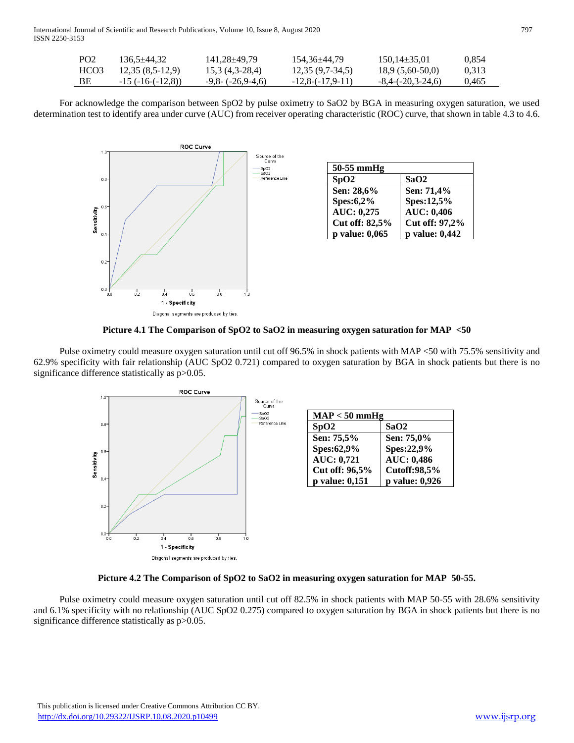International Journal of Scientific and Research Publications, Volume 10, Issue 8, August 2020 797 ISSN 2250-3153

| PO <sub>2</sub> | 136.5±44.32        | 141.28±49.79         | 154.36±44.79      | $150.14\pm35.01$    | 0.854 |
|-----------------|--------------------|----------------------|-------------------|---------------------|-------|
| HCO3            | $12,35(8,5-12,9)$  | 15.3 (4,3-28,4)      | $12,35(9,7-34,5)$ | $18.9(5,60-50,0)$   | 0.313 |
| - BE            | $-15(-16-(-12,8))$ | $-9,8 - (-26,9-4,6)$ | $-12,8(-17,9-11)$ | $-8,4-(-20,3-24,6)$ | 0.465 |

 For acknowledge the comparison between SpO2 by pulse oximetry to SaO2 by BGA in measuring oxygen saturation, we used determination test to identify area under curve (AUC) from receiver operating characteristic (ROC) curve, that shown in table 4.3 to 4.6.



**Picture 4.1 The Comparison of SpO2 to SaO2 in measuring oxygen saturation for MAP <50**

 Pulse oximetry could measure oxygen saturation until cut off 96.5% in shock patients with MAP <50 with 75.5% sensitivity and 62.9% specificity with fair relationship (AUC SpO2 0.721) compared to oxygen saturation by BGA in shock patients but there is no significance difference statistically as  $p > 0.05$ .



**Picture 4.2 The Comparison of SpO2 to SaO2 in measuring oxygen saturation for MAP 50-55.**

 Pulse oximetry could measure oxygen saturation until cut off 82.5% in shock patients with MAP 50-55 with 28.6% sensitivity and 6.1% specificity with no relationship (AUC SpO2 0.275) compared to oxygen saturation by BGA in shock patients but there is no significance difference statistically as  $p > 0.05$ .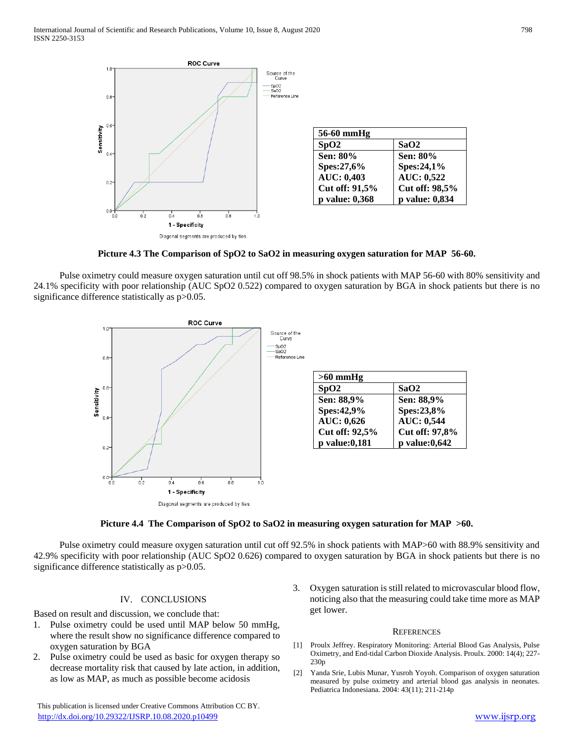

**Picture 4.3 The Comparison of SpO2 to SaO2 in measuring oxygen saturation for MAP 56-60.**

 Pulse oximetry could measure oxygen saturation until cut off 98.5% in shock patients with MAP 56-60 with 80% sensitivity and 24.1% specificity with poor relationship (AUC SpO2 0.522) compared to oxygen saturation by BGA in shock patients but there is no significance difference statistically as  $p > 0.05$ .



### **Picture 4.4 The Comparison of SpO2 to SaO2 in measuring oxygen saturation for MAP >60.**

 Pulse oximetry could measure oxygen saturation until cut off 92.5% in shock patients with MAP>60 with 88.9% sensitivity and 42.9% specificity with poor relationship (AUC SpO2 0.626) compared to oxygen saturation by BGA in shock patients but there is no significance difference statistically as  $p > 0.05$ .

### IV. CONCLUSIONS

Based on result and discussion, we conclude that:

- 1. Pulse oximetry could be used until MAP below 50 mmHg, where the result show no significance difference compared to oxygen saturation by BGA
- 2. Pulse oximetry could be used as basic for oxygen therapy so decrease mortality risk that caused by late action, in addition, as low as MAP, as much as possible become acidosis

 This publication is licensed under Creative Commons Attribution CC BY. <http://dx.doi.org/10.29322/IJSRP.10.08.2020.p10499> [www.ijsrp.org](http://ijsrp.org/)

3. Oxygen saturation is still related to microvascular blood flow, noticing also that the measuring could take time more as MAP get lower.

#### **REFERENCES**

- [1] Proulx Jeffrey. Respiratory Monitoring: Arterial Blood Gas Analysis, Pulse Oximetry, and End-tidal Carbon Dioxide Analysis. Proulx. 2000: 14(4); 227- 230p
- [2] Yanda Srie, Lubis Munar, Yusroh Yoyoh. Comparison of oxygen saturation measured by pulse oximetry and arterial blood gas analysis in neonates. Pediatrica Indonesiana. 2004: 43(11); 211-214p